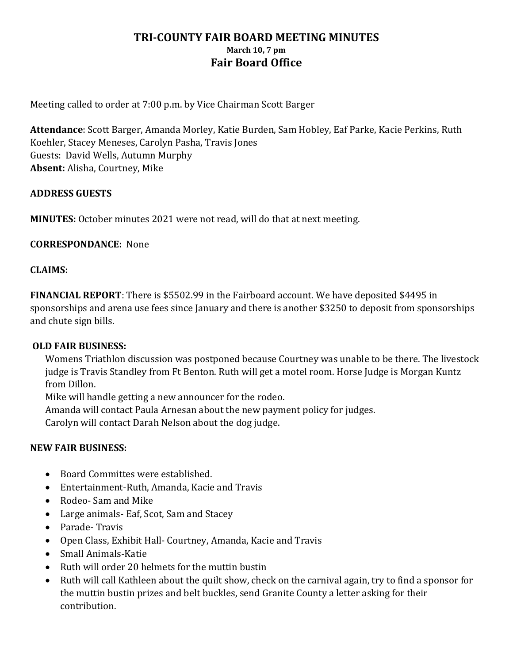# **TRI-COUNTY FAIR BOARD MEETING MINUTES March 10, 7 pm Fair Board Office**

Meeting called to order at 7:00 p.m. by Vice Chairman Scott Barger

**Attendance**: Scott Barger, Amanda Morley, Katie Burden, Sam Hobley, Eaf Parke, Kacie Perkins, Ruth Koehler, Stacey Meneses, Carolyn Pasha, Travis Jones Guests: David Wells, Autumn Murphy **Absent:** Alisha, Courtney, Mike

### **ADDRESS GUESTS**

**MINUTES:** October minutes 2021 were not read, will do that at next meeting.

**CORRESPONDANCE:** None

#### **CLAIMS:**

**FINANCIAL REPORT**: There is \$5502.99 in the Fairboard account. We have deposited \$4495 in sponsorships and arena use fees since January and there is another \$3250 to deposit from sponsorships and chute sign bills.

#### **OLD FAIR BUSINESS:**

Womens Triathlon discussion was postponed because Courtney was unable to be there. The livestock judge is Travis Standley from Ft Benton. Ruth will get a motel room. Horse Judge is Morgan Kuntz from Dillon.

Mike will handle getting a new announcer for the rodeo.

Amanda will contact Paula Arnesan about the new payment policy for judges.

Carolyn will contact Darah Nelson about the dog judge.

### **NEW FAIR BUSINESS:**

- Board Committes were established.
- Entertainment-Ruth, Amanda, Kacie and Travis
- Rodeo- Sam and Mike
- Large animals- Eaf, Scot, Sam and Stacey
- Parade- Travis
- Open Class, Exhibit Hall- Courtney, Amanda, Kacie and Travis
- Small Animals-Katie
- Ruth will order 20 helmets for the muttin bustin
- Ruth will call Kathleen about the quilt show, check on the carnival again, try to find a sponsor for the muttin bustin prizes and belt buckles, send Granite County a letter asking for their contribution.